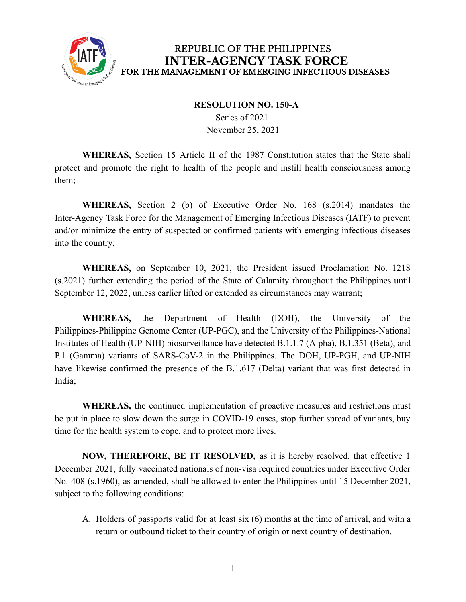

#### **RESOLUTION NO. 150-A**

Series of 2021 November 25, 2021

**WHEREAS,** Section 15 Article II of the 1987 Constitution states that the State shall protect and promote the right to health of the people and instill health consciousness among them;

**WHEREAS,** Section 2 (b) of Executive Order No. 168 (s.2014) mandates the Inter-Agency Task Force for the Management of Emerging Infectious Diseases (IATF) to prevent and/or minimize the entry of suspected or confirmed patients with emerging infectious diseases into the country;

**WHEREAS,** on September 10, 2021, the President issued Proclamation No. 1218 (s.2021) further extending the period of the State of Calamity throughout the Philippines until September 12, 2022, unless earlier lifted or extended as circumstances may warrant;

**WHEREAS,** the Department of Health (DOH), the University of the Philippines-Philippine Genome Center (UP-PGC), and the University of the Philippines-National Institutes of Health (UP-NIH) biosurveillance have detected B.1.1.7 (Alpha), B.1.351 (Beta), and P.1 (Gamma) variants of SARS-CoV-2 in the Philippines. The DOH, UP-PGH, and UP-NIH have likewise confirmed the presence of the B.1.617 (Delta) variant that was first detected in India;

**WHEREAS,** the continued implementation of proactive measures and restrictions must be put in place to slow down the surge in COVID-19 cases, stop further spread of variants, buy time for the health system to cope, and to protect more lives.

**NOW, THEREFORE, BE IT RESOLVED,** as it is hereby resolved, that effective 1 December 2021, fully vaccinated nationals of non-visa required countries under Executive Order No. 408 (s.1960), as amended, shall be allowed to enter the Philippines until 15 December 2021, subject to the following conditions:

A. Holders of passports valid for at least six (6) months at the time of arrival, and with a return or outbound ticket to their country of origin or next country of destination.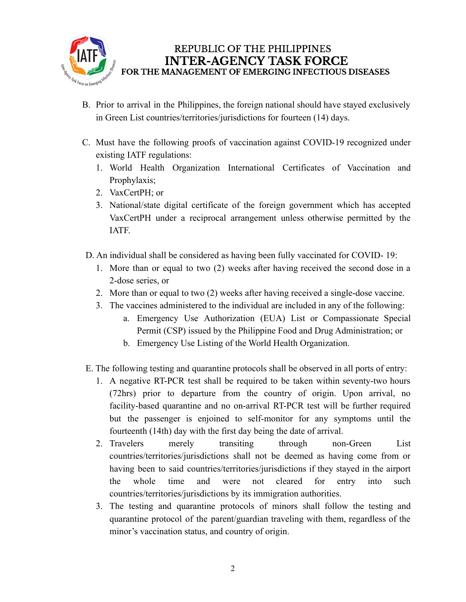

- B. Prior to arrival in the Philippines, the foreign national should have stayed exclusively in Green List countries/territories/jurisdictions for fourteen (14) days.
- C. Must have the following proofs of vaccination against COVID-19 recognized under existing IATF regulations:
	- 1. World Health Organization International Certificates of Vaccination and Prophylaxis;
	- 2. VaxCertPH; or
	- 3. National/state digital certificate of the foreign government which has accepted VaxCertPH under a reciprocal arrangement unless otherwise permitted by the IATF.
- D. An individual shall be considered as having been fully vaccinated for COVID- 19:
	- 1. More than or equal to two (2) weeks after having received the second dose in a 2-dose series, or
	- 2. More than or equal to two (2) weeks after having received a single-dose vaccine.
	- 3. The vaccines administered to the individual are included in any of the following:
		- a. Emergency Use Authorization (EUA) List or Compassionate Special Permit (CSP) issued by the Philippine Food and Drug Administration; or
		- b. Emergency Use Listing of the World Health Organization.
- E. The following testing and quarantine protocols shall be observed in all ports of entry:
	- 1. A negative RT-PCR test shall be required to be taken within seventy-two hours (72hrs) prior to departure from the country of origin. Upon arrival, no facility-based quarantine and no on-arrival RT-PCR test will be further required but the passenger is enjoined to self-monitor for any symptoms until the fourteenth (14th) day with the first day being the date of arrival.
	- 2. Travelers merely transiting through non-Green List countries/territories/jurisdictions shall not be deemed as having come from or having been to said countries/territories/jurisdictions if they stayed in the airport the whole time and were not cleared for entry into such countries/territories/jurisdictions by its immigration authorities.
	- 3. The testing and quarantine protocols of minors shall follow the testing and quarantine protocol of the parent/guardian traveling with them, regardless of the minor's vaccination status, and country of origin.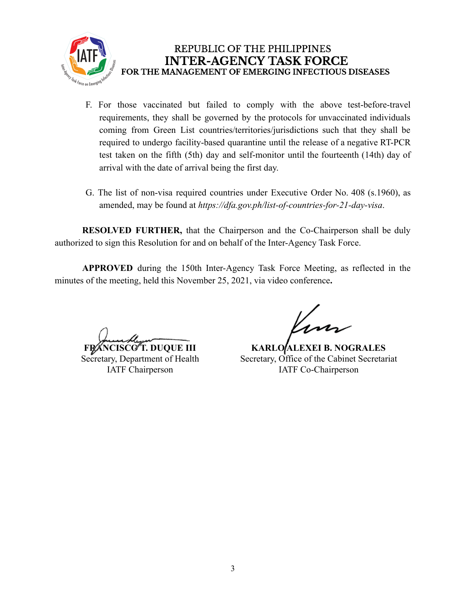

- F. For those vaccinated but failed to comply with the above test-before-travel requirements, they shall be governed by the protocols for unvaccinated individuals coming from Green List countries/territories/jurisdictions such that they shall be required to undergo facility-based quarantine until the release of a negative RT-PCR test taken on the fifth (5th) day and self-monitor until the fourteenth (14th) day of arrival with the date of arrival being the first day.
- G. The list of non-visa required countries under Executive Order No. 408 (s.1960), as amended, may be found at *https://dfa.gov.ph/list-of-countries-for-21-day-visa*.

**RESOLVED FURTHER,** that the Chairperson and the Co-Chairperson shall be duly authorized to sign this Resolution for and on behalf of the Inter-Agency Task Force.

**APPROVED** during the 150th Inter-Agency Task Force Meeting, as reflected in the minutes of the meeting, held this November 25, 2021, via video conference**.**

**FRANCISCO T. DUQUE III** Secretary, Department of Health IATF Chairperson

**KARLO ALEXEI B. NOGRALES** Secretary, Office of the Cabinet Secretariat IATF Co-Chairperson